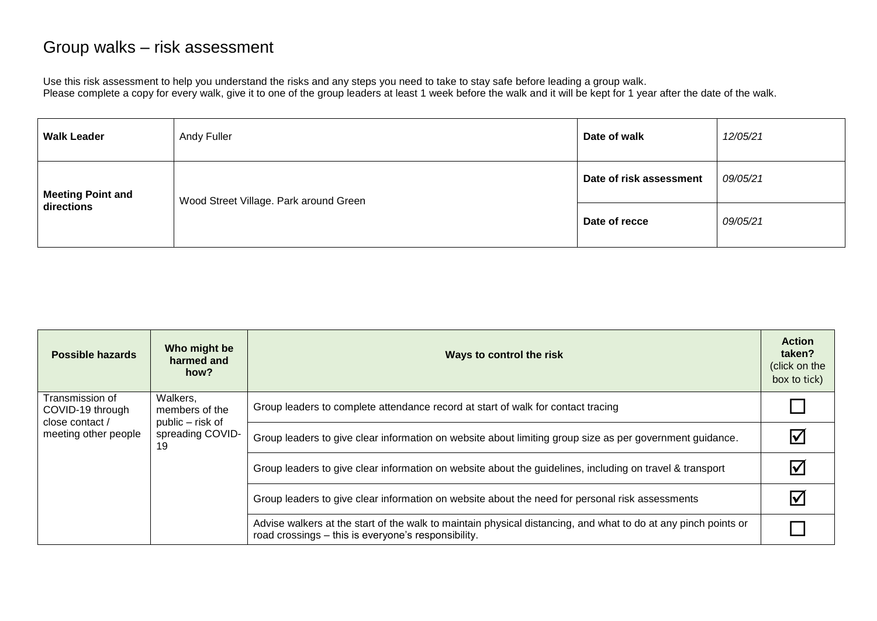## Group walks – risk assessment

Use this risk assessment to help you understand the risks and any steps you need to take to stay safe before leading a group walk. Please complete a copy for every walk, give it to one of the group leaders at least 1 week before the walk and it will be kept for 1 year after the date of the walk.

| <b>Walk Leader</b>                     | Andy Fuller                            | Date of walk            | 12/05/21 |
|----------------------------------------|----------------------------------------|-------------------------|----------|
| <b>Meeting Point and</b><br>directions | Wood Street Village. Park around Green | Date of risk assessment | 09/05/21 |
|                                        |                                        | Date of recce           | 09/05/21 |

| <b>Possible hazards</b>                                                        | Who might be<br>harmed and<br>how?                                       | Ways to control the risk                                                                                                                                              | <b>Action</b><br>taken?<br>(click on the<br>box to tick) |
|--------------------------------------------------------------------------------|--------------------------------------------------------------------------|-----------------------------------------------------------------------------------------------------------------------------------------------------------------------|----------------------------------------------------------|
| Transmission of<br>COVID-19 through<br>close contact /<br>meeting other people | Walkers,<br>members of the<br>public – risk of<br>spreading COVID-<br>19 | Group leaders to complete attendance record at start of walk for contact tracing                                                                                      |                                                          |
|                                                                                |                                                                          | Group leaders to give clear information on website about limiting group size as per government guidance.                                                              |                                                          |
|                                                                                |                                                                          | Group leaders to give clear information on website about the guidelines, including on travel & transport                                                              |                                                          |
|                                                                                |                                                                          | Group leaders to give clear information on website about the need for personal risk assessments                                                                       |                                                          |
|                                                                                |                                                                          | Advise walkers at the start of the walk to maintain physical distancing, and what to do at any pinch points or<br>road crossings - this is everyone's responsibility. |                                                          |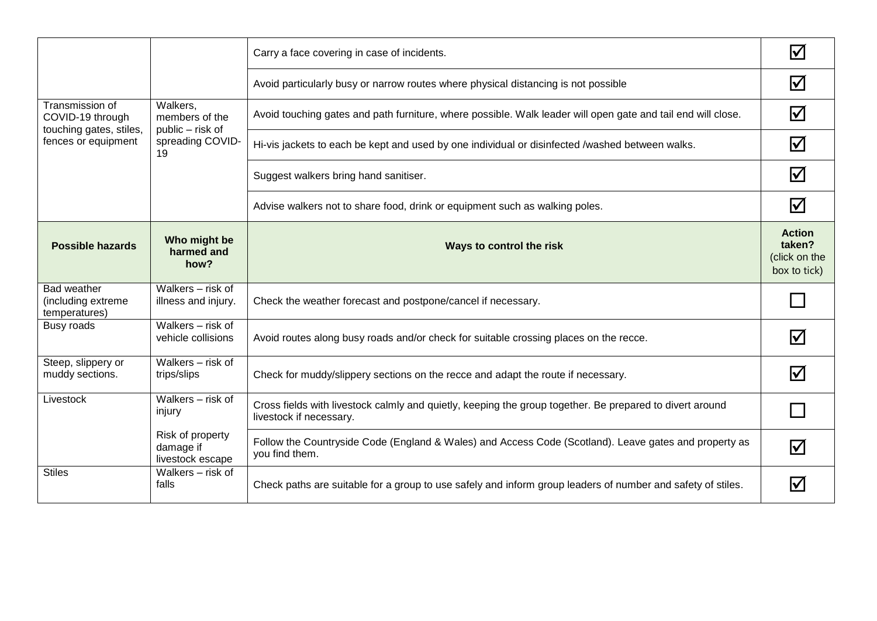|                                                    |                                                   | Carry a face covering in case of incidents.                                                                                         | $\blacktriangledown$                                     |
|----------------------------------------------------|---------------------------------------------------|-------------------------------------------------------------------------------------------------------------------------------------|----------------------------------------------------------|
|                                                    |                                                   | Avoid particularly busy or narrow routes where physical distancing is not possible                                                  | Ⅳ                                                        |
| Transmission of<br>COVID-19 through                | Walkers,<br>members of the<br>public – risk of    | Avoid touching gates and path furniture, where possible. Walk leader will open gate and tail end will close.                        | $\overline{\mathsf{v}}$                                  |
| touching gates, stiles,<br>fences or equipment     | spreading COVID-<br>19                            | Hi-vis jackets to each be kept and used by one individual or disinfected /washed between walks.                                     | Ⅳ                                                        |
|                                                    |                                                   | Suggest walkers bring hand sanitiser.                                                                                               | $\blacktriangledown$                                     |
|                                                    |                                                   | Advise walkers not to share food, drink or equipment such as walking poles.                                                         | $\overline{\mathsf{v}}$                                  |
| <b>Possible hazards</b>                            | Who might be<br>harmed and<br>how?                | Ways to control the risk                                                                                                            | <b>Action</b><br>taken?<br>(click on the<br>box to tick) |
| Bad weather<br>(including extreme<br>temperatures) | Walkers - risk of<br>illness and injury.          | Check the weather forecast and postpone/cancel if necessary.                                                                        |                                                          |
| Busy roads                                         | Walkers - risk of<br>vehicle collisions           | Avoid routes along busy roads and/or check for suitable crossing places on the recce.                                               | $\blacktriangledown$                                     |
| Steep, slippery or<br>muddy sections.              | Walkers - risk of<br>trips/slips                  | Check for muddy/slippery sections on the recce and adapt the route if necessary.                                                    | $\blacktriangledown$                                     |
| Livestock                                          | Walkers - risk of<br>injury                       | Cross fields with livestock calmly and quietly, keeping the group together. Be prepared to divert around<br>livestock if necessary. |                                                          |
|                                                    | Risk of property<br>damage if<br>livestock escape | Follow the Countryside Code (England & Wales) and Access Code (Scotland). Leave gates and property as<br>you find them.             | Ⅳ                                                        |
| <b>Stiles</b>                                      | Walkers - risk of<br>falls                        | Check paths are suitable for a group to use safely and inform group leaders of number and safety of stiles.                         |                                                          |